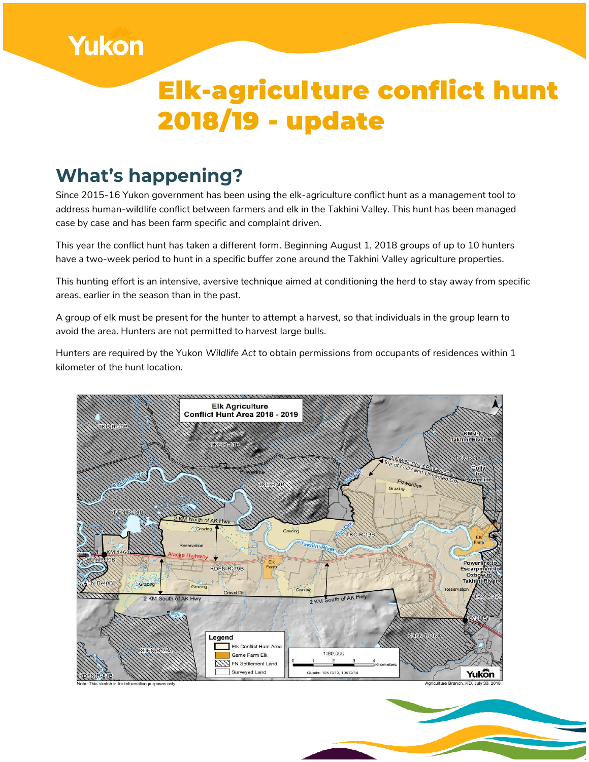

#### **What's happening?**

**Yukon** 

Since 2015-16 Yukon government has been using the elk-agriculture conflict hunt as a management tool to address human-wildlife conflict between farmers and elk in the Takhini Valley. This hunt has been managed case by case and has been farm specific and complaint driven.

This year the conflict hunt has taken a different form. Beginning August 1, 2018 groups of up to 10 hunters have a two-week period to hunt in a specific buffer zone around the Takhini Valley agriculture properties.

This hunting effort is an intensive, aversive technique aimed at conditioning the herd to stay away from specific areas, earlier in the season than in the past.

A group of elk must be present for the hunter to attempt a harvest, so that individuals in the group learn to avoid the area. Hunters are not permitted to harvest large bulls.

Hunters are required by the Yukon *Wildlife Act* to obtain permissions from occupants of residences within 1 kilometer of the hunt location.